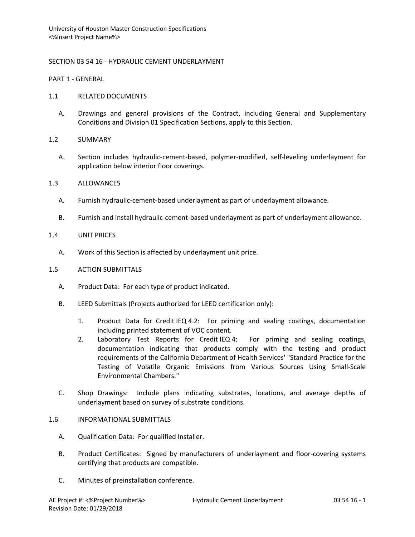# SECTION 03 54 16 - HYDRAULIC CEMENT UNDERLAYMENT

PART 1 - GENERAL

## 1.1 RELATED DOCUMENTS

A. Drawings and general provisions of the Contract, including General and Supplementary Conditions and Division 01 Specification Sections, apply to this Section.

## 1.2 SUMMARY

A. Section includes hydraulic-cement-based, polymer-modified, self-leveling underlayment for application below interior floor coverings.

## 1.3 ALLOWANCES

- A. Furnish hydraulic-cement-based underlayment as part of underlayment allowance.
- B. Furnish and install hydraulic-cement-based underlayment as part of underlayment allowance.

## 1.4 UNIT PRICES

A. Work of this Section is affected by underlayment unit price.

## 1.5 ACTION SUBMITTALS

- A. Product Data: For each type of product indicated.
- B. LEED Submittals (Projects authorized for LEED certification only):
	- 1. Product Data for Credit IEQ 4.2: For priming and sealing coatings, documentation including printed statement of VOC content.
	- 2. Laboratory Test Reports for Credit IEQ 4: For priming and sealing coatings, documentation indicating that products comply with the testing and product requirements of the California Department of Health Services' "Standard Practice for the Testing of Volatile Organic Emissions from Various Sources Using Small-Scale Environmental Chambers."
- C. Shop Drawings: Include plans indicating substrates, locations, and average depths of underlayment based on survey of substrate conditions.

#### 1.6 INFORMATIONAL SUBMITTALS

- A. Qualification Data: For qualified Installer.
- B. Product Certificates: Signed by manufacturers of underlayment and floor-covering systems certifying that products are compatible.
- C. Minutes of preinstallation conference.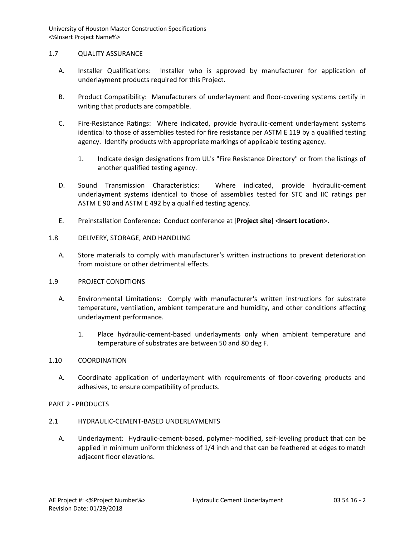## 1.7 QUALITY ASSURANCE

- A. Installer Qualifications: Installer who is approved by manufacturer for application of underlayment products required for this Project.
- B. Product Compatibility: Manufacturers of underlayment and floor-covering systems certify in writing that products are compatible.
- C. Fire-Resistance Ratings: Where indicated, provide hydraulic-cement underlayment systems identical to those of assemblies tested for fire resistance per ASTM E 119 by a qualified testing agency. Identify products with appropriate markings of applicable testing agency.
	- 1. Indicate design designations from UL's "Fire Resistance Directory" or from the listings of another qualified testing agency.
- D. Sound Transmission Characteristics: Where indicated, provide hydraulic-cement underlayment systems identical to those of assemblies tested for STC and IIC ratings per ASTM E 90 and ASTM E 492 by a qualified testing agency.
- E. Preinstallation Conference: Conduct conference at [**Project site**] <**Insert location**>.
- 1.8 DELIVERY, STORAGE, AND HANDLING
	- A. Store materials to comply with manufacturer's written instructions to prevent deterioration from moisture or other detrimental effects.

#### 1.9 PROJECT CONDITIONS

- A. Environmental Limitations: Comply with manufacturer's written instructions for substrate temperature, ventilation, ambient temperature and humidity, and other conditions affecting underlayment performance.
	- 1. Place hydraulic-cement-based underlayments only when ambient temperature and temperature of substrates are between 50 and 80 deg F.

#### 1.10 COORDINATION

A. Coordinate application of underlayment with requirements of floor-covering products and adhesives, to ensure compatibility of products.

# PART 2 - PRODUCTS

# 2.1 HYDRAULIC-CEMENT-BASED UNDERLAYMENTS

A. Underlayment: Hydraulic-cement-based, polymer-modified, self-leveling product that can be applied in minimum uniform thickness of 1/4 inch and that can be feathered at edges to match adjacent floor elevations.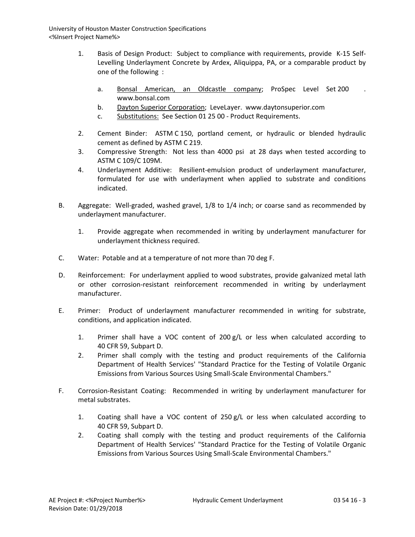- 1. Basis of Design Product: Subject to compliance with requirements, provide K-15 Self-Levelling Underlayment Concrete by Ardex, Aliquippa, PA, or a comparable product by one of the following :
	- a. [Bonsal American, an Oldcastle company;](http://www.specagent.com/LookUp/?uid=123456818024&mf=04&src=wd) ProSpec Level Set 200 www.bonsal.com
	- b. [Dayton Superior Corporation;](http://www.specagent.com/LookUp/?uid=123456817953&mf=04&src=wd) LeveLayer. www.daytonsuperior.com
	- c. Substitutions: See Section 01 25 00 Product Requirements.
- 2. Cement Binder: ASTM C 150, portland cement, or hydraulic or blended hydraulic cement as defined by ASTM C 219.
- 3. Compressive Strength: Not less than 4000 psi at 28 days when tested according to ASTM C 109/C 109M.
- 4. Underlayment Additive: Resilient-emulsion product of underlayment manufacturer, formulated for use with underlayment when applied to substrate and conditions indicated.
- B. Aggregate: Well-graded, washed gravel, 1/8 to 1/4 inch; or coarse sand as recommended by underlayment manufacturer.
	- 1. Provide aggregate when recommended in writing by underlayment manufacturer for underlayment thickness required.
- C. Water: Potable and at a temperature of not more than 70 deg F.
- D. Reinforcement: For underlayment applied to wood substrates, provide galvanized metal lath or other corrosion-resistant reinforcement recommended in writing by underlayment manufacturer.
- E. Primer: Product of underlayment manufacturer recommended in writing for substrate, conditions, and application indicated.
	- 1. Primer shall have a VOC content of 200 g/L or less when calculated according to 40 CFR 59, Subpart D.
	- 2. Primer shall comply with the testing and product requirements of the California Department of Health Services' "Standard Practice for the Testing of Volatile Organic Emissions from Various Sources Using Small-Scale Environmental Chambers."
- F. Corrosion-Resistant Coating: Recommended in writing by underlayment manufacturer for metal substrates.
	- 1. Coating shall have a VOC content of 250 g/L or less when calculated according to 40 CFR 59, Subpart D.
	- 2. Coating shall comply with the testing and product requirements of the California Department of Health Services' "Standard Practice for the Testing of Volatile Organic Emissions from Various Sources Using Small-Scale Environmental Chambers."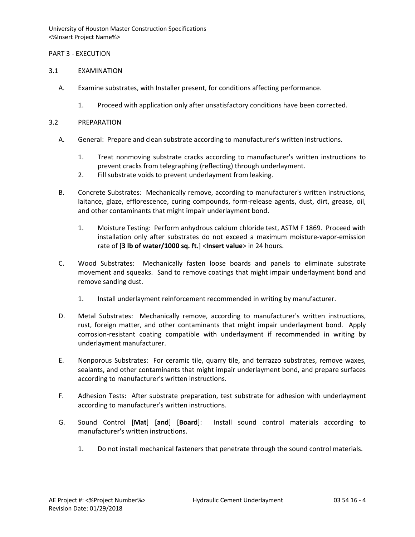# PART 3 - EXECUTION

## 3.1 EXAMINATION

- A. Examine substrates, with Installer present, for conditions affecting performance.
	- 1. Proceed with application only after unsatisfactory conditions have been corrected.

## 3.2 PREPARATION

- A. General: Prepare and clean substrate according to manufacturer's written instructions.
	- 1. Treat nonmoving substrate cracks according to manufacturer's written instructions to prevent cracks from telegraphing (reflecting) through underlayment.
	- 2. Fill substrate voids to prevent underlayment from leaking.
- B. Concrete Substrates: Mechanically remove, according to manufacturer's written instructions, laitance, glaze, efflorescence, curing compounds, form-release agents, dust, dirt, grease, oil, and other contaminants that might impair underlayment bond.
	- 1. Moisture Testing: Perform anhydrous calcium chloride test, ASTM F 1869. Proceed with installation only after substrates do not exceed a maximum moisture-vapor-emission rate of [**3 lb of water/1000 sq. ft.**] <**Insert value**> in 24 hours.
- C. Wood Substrates: Mechanically fasten loose boards and panels to eliminate substrate movement and squeaks. Sand to remove coatings that might impair underlayment bond and remove sanding dust.
	- 1. Install underlayment reinforcement recommended in writing by manufacturer.
- D. Metal Substrates: Mechanically remove, according to manufacturer's written instructions, rust, foreign matter, and other contaminants that might impair underlayment bond. Apply corrosion-resistant coating compatible with underlayment if recommended in writing by underlayment manufacturer.
- E. Nonporous Substrates: For ceramic tile, quarry tile, and terrazzo substrates, remove waxes, sealants, and other contaminants that might impair underlayment bond, and prepare surfaces according to manufacturer's written instructions.
- F. Adhesion Tests: After substrate preparation, test substrate for adhesion with underlayment according to manufacturer's written instructions.
- G. Sound Control [**Mat**] [**and**] [**Board**]: Install sound control materials according to manufacturer's written instructions.
	- 1. Do not install mechanical fasteners that penetrate through the sound control materials.